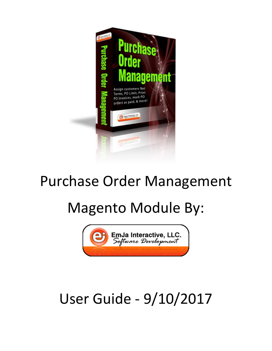

## Purchase Order Management

# Magento Module By:



# User Guide - 9/10/2017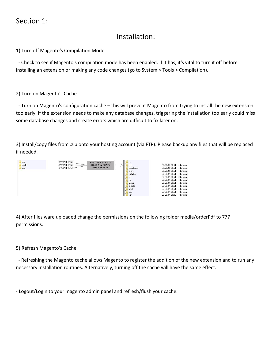## Section 1:

## Installation:

1) Turn off Magento's Compilation Mode

 - Check to see if Magento's compilation mode has been enabled. If it has, it's vital to turn it off before installing an extension or making any code changes (go to System > Tools > Compilation).

#### 2) Turn on Magento's Cache

 - Turn on Magento's configuration cache – this will prevent Magento from trying to install the new extension too early. If the extension needs to make any database changes, triggering the installation too early could miss some database changes and create errors which are difficult to fix later on.

3) Install/copy files from .zip onto your hosting account (via FTP). Please backup any files that will be replaced if needed.



4) After files ware uploaded change the permissions on the following folder media/orderPdf to 777 permissions.

#### 5) Refresh Magento's Cache

 - Refreshing the Magento cache allows Magento to register the addition of the new extension and to run any necessary installation routines. Alternatively, turning off the cache will have the same effect.

- Logout/Login to your magento admin panel and refresh/flush your cache.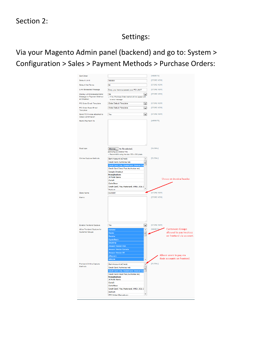## Settings:

## Via your Magento Admin panel (backend) and go to: System > Configuration > Sales > Payment Methods > Purchase Orders:

| Sort Order                                               |                                                                                | [WEBSITE]                                              |
|----------------------------------------------------------|--------------------------------------------------------------------------------|--------------------------------------------------------|
|                                                          |                                                                                |                                                        |
| Default Limit                                            | 100000                                                                         | [STORE VIEW]                                           |
| Default Net Terms                                        | 30                                                                             | [STORE VIEW]                                           |
| Limit Exceeded Message                                   | Sorry, you have surpassed your PO LIMIT                                        | [STORE VIEW]                                           |
| <b>Display Limit Exceeded Error</b>                      | No<br>$\blacksquare$                                                           | [STORE VIEW]                                           |
| Message in Payment Method<br>at Checkout                 | If No, Purchase Order method will not appear with<br>no error message          |                                                        |
| PO Order Email Template                                  | <b>Order Default Template</b><br>$\blacksquare$                                | <b>ISTORE VIEWI</b>                                    |
| PO Order Guest Email<br>Template                         | <b>Order Default Template</b><br>$\overline{\phantom{a}}$                      | [STORE VIEW]                                           |
| Send PO Invoice attached to<br><b>Order Confirmation</b> | Yes<br>$\overline{\phantom{0}}$                                                | [STORE VIEW]                                           |
| Remit Payment To                                         |                                                                                | [WEBSITE]                                              |
| Paid loon                                                | Browse No file selected.<br>paid.png Delete File                               | [GLOBAL]                                               |
|                                                          | Recommend using the size: 553 x 333 pixels                                     |                                                        |
| <b>Online Capture Methods</b>                            | Bank Account (eCheck)<br>$\overline{\phantom{a}}$                              | [GLOBAL]                                               |
|                                                          | Credit Card (Authorize.net)<br>Ξ<br>Credit Card (Visa, MasterCard, Discover Ca |                                                        |
|                                                          | Credit Card Direct Post (Authorize.net)                                        |                                                        |
|                                                          | Google Checkout<br><b>Moneybookers</b>                                         |                                                        |
|                                                          | All Polish Banks                                                               |                                                        |
|                                                          |                                                                                |                                                        |
|                                                          | CartaSi                                                                        | Shows on invoice header.                               |
|                                                          | Carte Bleue                                                                    |                                                        |
|                                                          | Credit Card / Visa, Mastercard, AMEX, JCB, D                                   |                                                        |
| <b>Store Name</b>                                        | Dankort<br><b>INVOICE</b>                                                      | [STORE VIEW]                                           |
| Memo                                                     |                                                                                | [STORE VIEW]                                           |
|                                                          |                                                                                |                                                        |
| <b>Enable Frontend Capture</b>                           | Yes<br>$\overline{\phantom{0}}$                                                | [STORE VIEW]                                           |
| Allow Frontend Capture for                               | General<br>Ä                                                                   | <b>IWEBSITEL</b><br><b>Customers Groups</b>            |
| <b>Customer Groups</b>                                   | <b>Dealer</b><br>Ė                                                             | allowed to pay invoices                                |
|                                                          | Retailer                                                                       |                                                        |
|                                                          | CrystalBasin<br>DropShip                                                       |                                                        |
|                                                          | Amazon Vendor USA                                                              |                                                        |
|                                                          | Amazon Vendor Canada                                                           |                                                        |
|                                                          | Amazon Vendor UK                                                               |                                                        |
|                                                          | eBay.com<br>eBay.ca                                                            | Allows users to pay via<br>their accounts on frontend. |
|                                                          |                                                                                | on frontend via accoun                                 |
| <b>Frontend Online Capture</b><br>Methods                | Bank Account (eCheck)<br>Z<br>Credit Card (Authorize.net)                      | [GLOBAL]                                               |
|                                                          | Ε<br>Credit Card (Visa, MasterCard, Discover Car                               |                                                        |
|                                                          | Credit Card Direct Post (Authorize.net)                                        |                                                        |
|                                                          | Moneybookers                                                                   |                                                        |
|                                                          | All Polish Banks<br>CartaSi                                                    |                                                        |
|                                                          | Carte Bleue                                                                    |                                                        |
|                                                          | Credit Card / Visa, Mastercard, AMEX, JCB, D<br>Dankort                        |                                                        |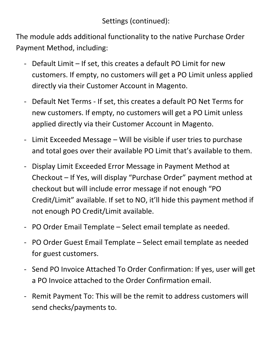Settings (continued):

The module adds additional functionality to the native Purchase Order Payment Method, including:

- Default Limit If set, this creates a default PO Limit for new customers. If empty, no customers will get a PO Limit unless applied directly via their Customer Account in Magento.
- Default Net Terms If set, this creates a default PO Net Terms for new customers. If empty, no customers will get a PO Limit unless applied directly via their Customer Account in Magento.
- Limit Exceeded Message Will be visible if user tries to purchase and total goes over their available PO Limit that's available to them.
- Display Limit Exceeded Error Message in Payment Method at Checkout – If Yes, will display "Purchase Order" payment method at checkout but will include error message if not enough "PO Credit/Limit" available. If set to NO, it'll hide this payment method if not enough PO Credit/Limit available.
- PO Order Email Template Select email template as needed.
- PO Order Guest Email Template Select email template as needed for guest customers.
- Send PO Invoice Attached To Order Confirmation: If yes, user will get a PO Invoice attached to the Order Confirmation email.
- Remit Payment To: This will be the remit to address customers will send checks/payments to.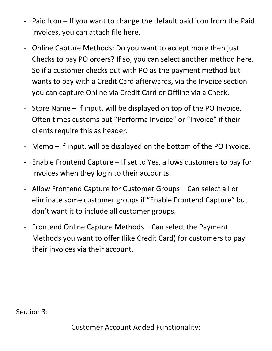- Paid Icon If you want to change the default paid icon from the Paid Invoices, you can attach file here.
- Online Capture Methods: Do you want to accept more then just Checks to pay PO orders? If so, you can select another method here. So if a customer checks out with PO as the payment method but wants to pay with a Credit Card afterwards, via the Invoice section you can capture Online via Credit Card or Offline via a Check.
- Store Name If input, will be displayed on top of the PO Invoice. Often times customs put "Performa Invoice" or "Invoice" if their clients require this as header.
- Memo If input, will be displayed on the bottom of the PO Invoice.
- Enable Frontend Capture If set to Yes, allows customers to pay for Invoices when they login to their accounts.
- Allow Frontend Capture for Customer Groups Can select all or eliminate some customer groups if "Enable Frontend Capture" but don't want it to include all customer groups.
- Frontend Online Capture Methods Can select the Payment Methods you want to offer (like Credit Card) for customers to pay their invoices via their account.

Section 3: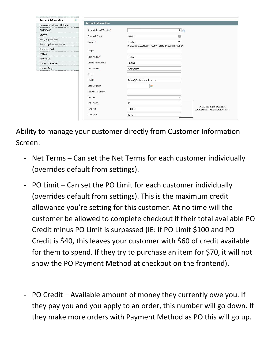| 日<br><b>Account Information</b> | <b>Account Information</b> |                                                               |                                                    |
|---------------------------------|----------------------------|---------------------------------------------------------------|----------------------------------------------------|
| Personal Customer Attributes    |                            |                                                               |                                                    |
| Addresses                       | Associate to Website *     | $\bullet$                                                     |                                                    |
| Orders                          | Created From               | Admin<br>固                                                    |                                                    |
| <b>Billing Agreements</b>       |                            |                                                               |                                                    |
| Recurring Profiles (beta)       | Group *                    | Dealer<br>۳<br>Disable Automatic Group Change Based on VAT ID |                                                    |
| Shopping Cart                   | Prefix                     |                                                               |                                                    |
| Wishlist                        |                            |                                                               |                                                    |
| Newsletter                      | First Name*                | Tester                                                        |                                                    |
| Product Reviews                 | Middle Name/Initial        | Testing                                                       |                                                    |
| Product Tags                    | Last Name*                 | PO Module                                                     |                                                    |
|                                 | Suffix                     |                                                               |                                                    |
|                                 | Ernail *                   | Sales@EmJaInteractive.com                                     |                                                    |
|                                 | Date Of Birth              | 露                                                             |                                                    |
|                                 | Tax/VAT Number             |                                                               |                                                    |
|                                 | Gender                     | ▼                                                             |                                                    |
|                                 | Net Terms                  | 30                                                            |                                                    |
|                                 | PO Limit                   | 10000                                                         | <b>ADDED CUSTOMER</b><br><b>ACCOUNT MANAGEMENT</b> |
|                                 | PO Credit                  | 324.77                                                        |                                                    |

Ability to manage your customer directly from Customer Information Screen:

- Net Terms Can set the Net Terms for each customer individually (overrides default from settings).
- PO Limit Can set the PO Limit for each customer individually (overrides default from settings). This is the maximum credit allowance you're setting for this customer. At no time will the customer be allowed to complete checkout if their total available PO Credit minus PO Limit is surpassed (IE: If PO Limit \$100 and PO Credit is \$40, this leaves your customer with \$60 of credit available for them to spend. If they try to purchase an item for \$70, it will not show the PO Payment Method at checkout on the frontend).
- PO Credit Available amount of money they currently owe you. If they pay you and you apply to an order, this number will go down. If they make more orders with Payment Method as PO this will go up.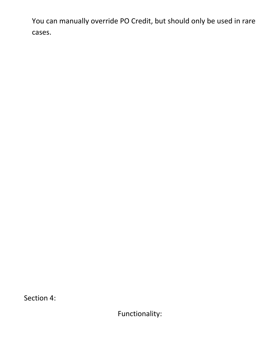You can manually override PO Credit, but should only be used in rare cases.

Section 4:

Functionality: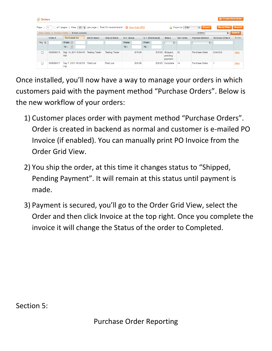|                                                                                            | <b>C</b> Create New Order<br><b>Sexternal</b> Orders                                                                                                                  |                                              |                       |                       |             |         |       |                  |                             |                  |                       |                        |             |
|--------------------------------------------------------------------------------------------|-----------------------------------------------------------------------------------------------------------------------------------------------------------------------|----------------------------------------------|-----------------------|-----------------------|-------------|---------|-------|------------------|-----------------------------|------------------|-----------------------|------------------------|-------------|
| Page 1                                                                                     | <b>Reset Filter</b><br><b>Search</b><br>of 1 pages   View   20 $\div$   per page   Total 20 records found   $\angle$ New Order RSS<br>Export to: CSV<br>$\Box$ Export |                                              |                       |                       |             |         |       |                  |                             |                  |                       |                        |             |
| Submit<br>Actions<br>$\frac{1}{2}$<br>Select Visible   Unselect Visible   0 items selected |                                                                                                                                                                       |                                              |                       |                       |             |         |       |                  |                             |                  |                       |                        |             |
|                                                                                            | Order#                                                                                                                                                                | <b>Purchased On</b>                          | <b>Bill to Name</b>   | <b>Ship to Name</b>   | G.T. (Base) |         |       | G.T. (Purchased) | <b>Status</b>               | <b>Net Terms</b> | <b>Payment Method</b> | <b>Purchase Order#</b> | Action      |
| An <sub>1</sub> $\div$                                                                     |                                                                                                                                                                       | From: $\frac{1}{2}$                          |                       |                       | From:       |         | From: |                  |                             | ÷                | ÷                     |                        |             |
|                                                                                            |                                                                                                                                                                       | To: $\mathbb{F}$                             |                       |                       | To:         |         | To:   |                  |                             |                  |                       |                        |             |
| □                                                                                          | 100000019                                                                                                                                                             | Sep 14, 2011 8:54:45<br>AM                   | <b>Testing Tester</b> | <b>Testing Tester</b> |             | \$15.00 |       |                  | \$15.00 Shipped,<br>pending | 30               | Purchase Order        | 2342342                | <b>View</b> |
|                                                                                            |                                                                                                                                                                       |                                              |                       |                       |             |         |       |                  | payment                     |                  |                       |                        |             |
| $\Box$                                                                                     | 100000017                                                                                                                                                             | Sep 7, 2011 10:36:58 First Last<br><b>PM</b> |                       | First Last            |             | \$20.00 |       |                  | \$20.00 Complete            | 14               | Purchase Order        |                        | <b>View</b> |

Once installed, you'll now have a way to manage your orders in which customers paid with the payment method "Purchase Orders". Below is the new workflow of your orders:

- 1) Customer places order with payment method "Purchase Orders". Order is created in backend as normal and customer is e-mailed PO Invoice (if enabled). You can manually print PO Invoice from the Order Grid View.
- 2) You ship the order, at this time it changes status to "Shipped, Pending Payment". It will remain at this status until payment is made.
- 3) Payment is secured, you'll go to the Order Grid View, select the Order and then click Invoice at the top right. Once you complete the invoice it will change the Status of the order to Completed.

Section 5: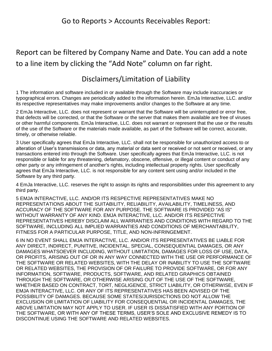## Report can be filtered by Company Name and Date. You can add a note to a line item by clicking the "Add Note" column on far right.

## Disclaimers/Limitation of Liability

1 The information and software included in or available through the Software may include inaccuracies or typographical errors. Changes are periodically added to the information herein. EmJa Interactive, LLC. and/or its respective representatives may make improvements and/or changes to the Software at any time.

2 EmJa Interactive, LLC. does not represent or warrant that the Software will be uninterrupted or error free, that defects will be corrected, or that the Software or the server that makes them available are free of viruses or other harmful components. EmJa Interactive, LLC. does not warrant or represent that the use or the results of the use of the Software or the materials made available, as part of the Software will be correct, accurate, timely, or otherwise reliable.

3 User specifically agrees that EmJa Interactive, LLC. shall not be responsible for unauthorized access to or alteration of User's transmissions or data, any material or data sent or received or not sent or received, or any transactions entered into through the Software. User specifically agrees that EmJa Interactive, LLC. is not responsible or liable for any threatening, defamatory, obscene, offensive, or illegal content or conduct of any other party or any infringement of another's rights, including intellectual property rights. User specifically agrees that EmJa Interactive, LLC. is not responsible for any content sent using and/or included in the Software by any third party.

4 EmJa Interactive, LLC. reserves the right to assign its rights and responsibilities under this agreement to any third party.

5 EMJA INTERACTIVE, LLC. AND/OR ITS RESPECTIVE REPRESENTATIVES MAKE NO REPRESENTATIONS ABOUT THE SUITABILITY, RELIABILITY, AVAILABILITY, TIMELINESS, AND ACCURACY OF THE SOFTWARE FOR ANY PURPOSE. THE SOFTWARE IS PROVIDED "AS IS" WITHOUT WARRANTY OF ANY KIND. EMJA INTERACTIVE, LLC. AND/OR ITS RESPECTIVE REPRESENTATIVES HEREBY DISCLAIM ALL WARRANTIES AND CONDITIONS WITH REGARD TO THE SOFTWARE, INCLUDING ALL IMPLIED WARRANTIES AND CONDITIONS OF MERCHANTABILITY, FITNESS FOR A PARTICULAR PURPOSE, TITLE, AND NON-INFRINGEMENT.

6 IN NO EVENT SHALL EMJA INTERACTIVE, LLC. AND/OR ITS REPRESENTATIVES BE LIABLE FOR ANY DIRECT, INDIRECT, PUNITIVE, INCIDENTAL, SPECIAL, CONSEQUENTIAL DAMAGES, OR ANY DAMAGES WHATSOEVER INCLUDING, WITHOUT LIMITATION, DAMAGES FOR LOSS OF USE, DATA, OR PROFITS, ARISING OUT OF OR IN ANY WAY CONNECTED WITH THE USE OR PERFORMANCE OF THE SOFTWARE OR RELATED WEBSITES, WITH THE DELAY OR INABILITY TO USE THE SOFTWARE OR RELATED WEBSITES, THE PROVISION OF OR FAILURE TO PROVIDE SOFTWARE, OR FOR ANY INFORMATION, SOFTWARE, PRODUCTS, SOFTWARE, AND RELATED GRAPHICS OBTAINED THROUGH THE SOFTWARE, OR OTHERWISE ARISING OUT OF THE USE OF THE SOFTWARE, WHETHER BASED ON CONTRACT, TORT, NEGLIGENCE, STRICT LIABILITY, OR OTHERWISE, EVEN IF EMJA INTERACTIVE, LLC. OR ANY OF ITS REPRESENTATIVES HAS BEEN ADVISED OF THE POSSIBILITY OF DAMAGES. BECAUSE SOME STATES/JURISDICTIONS DO NOT ALLOW THE EXCLUSION OR LIMITATION OF LIABILITY FOR CONSEQUENTIAL OR INCIDENTAL DAMAGES, THE ABOVE LIMITATION MAY NOT APPLY TO USER. IF USER IS DISSATISFIED WITH ANY PORTION OF THE SOFTWARE, OR WITH ANY OF THESE TERMS, USER'S SOLE AND EXCLUSIVE REMEDY IS TO DISCONTINUE USING THE SOFTWARE AND RELATED WEBSITES.